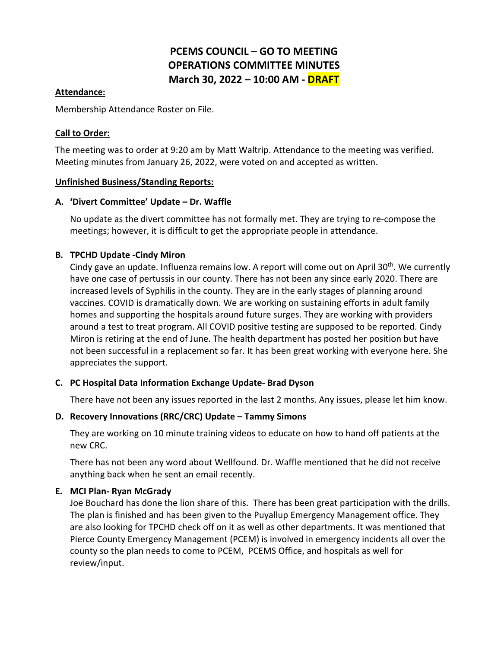# **PCEMS COUNCIL – GO TO MEETING OPERATIONS COMMITTEE MINUTES March 30, 2022 – 10:00 AM - DRAFT**

## **Attendance:**

Membership Attendance Roster on File.

## **Call to Order:**

The meeting was to order at 9:20 am by Matt Waltrip. Attendance to the meeting was verified. Meeting minutes from January 26, 2022, were voted on and accepted as written.

## **Unfinished Business/Standing Reports:**

## **A. 'Divert Committee' Update – Dr. Waffle**

No update as the divert committee has not formally met. They are trying to re-compose the meetings; however, it is difficult to get the appropriate people in attendance.

# **B. TPCHD Update -Cindy Miron**

Cindy gave an update. Influenza remains low. A report will come out on April  $30<sup>th</sup>$ . We currently have one case of pertussis in our county. There has not been any since early 2020. There are increased levels of Syphilis in the county. They are in the early stages of planning around vaccines. COVID is dramatically down. We are working on sustaining efforts in adult family homes and supporting the hospitals around future surges. They are working with providers around a test to treat program. All COVID positive testing are supposed to be reported. Cindy Miron is retiring at the end of June. The health department has posted her position but have not been successful in a replacement so far. It has been great working with everyone here. She appreciates the support.

# **C. PC Hospital Data Information Exchange Update- Brad Dyson**

There have not been any issues reported in the last 2 months. Any issues, please let him know.

# **D. Recovery Innovations (RRC/CRC) Update – Tammy Simons**

They are working on 10 minute training videos to educate on how to hand off patients at the new CRC.

There has not been any word about Wellfound. Dr. Waffle mentioned that he did not receive anything back when he sent an email recently.

# **E. MCI Plan- Ryan McGrady**

Joe Bouchard has done the lion share of this. There has been great participation with the drills. The plan is finished and has been given to the Puyallup Emergency Management office. They are also looking for TPCHD check off on it as well as other departments. It was mentioned that Pierce County Emergency Management (PCEM) is involved in emergency incidents all over the county so the plan needs to come to PCEM, PCEMS Office, and hospitals as well for review/input.